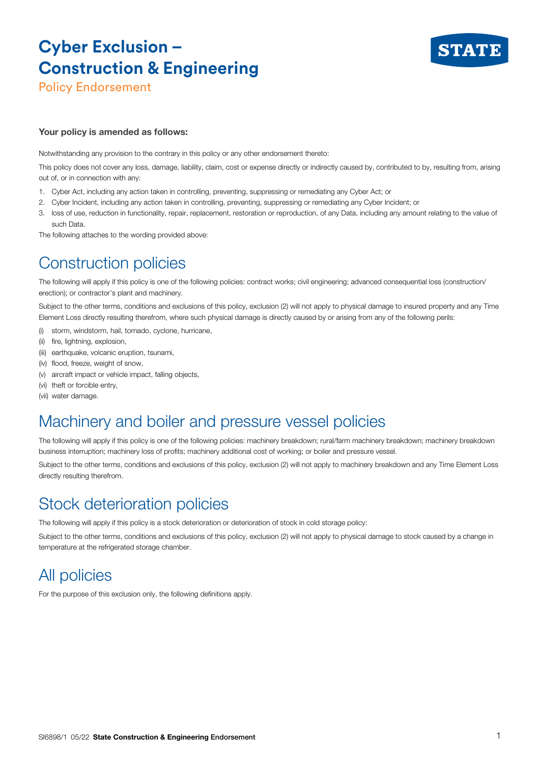# **Cyber Exclusion – Construction & Engineering**



Policy Endorsement

#### Your policy is amended as follows:

Notwithstanding any provision to the contrary in this policy or any other endorsement thereto:

This policy does not cover any loss, damage, liability, claim, cost or expense directly or indirectly caused by, contributed to by, resulting from, arising out of, or in connection with any:

- 1. Cyber Act, including any action taken in controlling, preventing, suppressing or remediating any Cyber Act; or
- 2. Cyber Incident, including any action taken in controlling, preventing, suppressing or remediating any Cyber Incident; or
- 3. loss of use, reduction in functionality, repair, replacement, restoration or reproduction, of any Data, including any amount relating to the value of such Data.

The following attaches to the wording provided above:

### Construction policies

The following will apply if this policy is one of the following policies: contract works; civil engineering; advanced consequential loss (construction/ erection); or contractor's plant and machinery.

Subject to the other terms, conditions and exclusions of this policy, exclusion (2) will not apply to physical damage to insured property and any Time Element Loss directly resulting therefrom, where such physical damage is directly caused by or arising from any of the following perils:

- (i) storm, windstorm, hail, tornado, cyclone, hurricane,
- (ii) fire, lightning, explosion,
- (iii) earthquake, volcanic eruption, tsunami,
- (iv) flood, freeze, weight of snow,
- (v) aircraft impact or vehicle impact, falling objects,
- (vi) theft or forcible entry
- (vii) water damage.

#### Machinery and boiler and pressure vessel policies

The following will apply if this policy is one of the following policies: machinery breakdown; rural/farm machinery breakdown; machinery breakdown business interruption; machinery loss of profits; machinery additional cost of working; or boiler and pressure vessel.

Subject to the other terms, conditions and exclusions of this policy, exclusion (2) will not apply to machinery breakdown and any Time Element Loss directly resulting therefrom.

#### Stock deterioration policies

The following will apply if this policy is a stock deterioration or deterioration of stock in cold storage policy:

Subject to the other terms, conditions and exclusions of this policy, exclusion (2) will not apply to physical damage to stock caused by a change in temperature at the refrigerated storage chamber.

### All policies

For the purpose of this exclusion only, the following definitions apply.